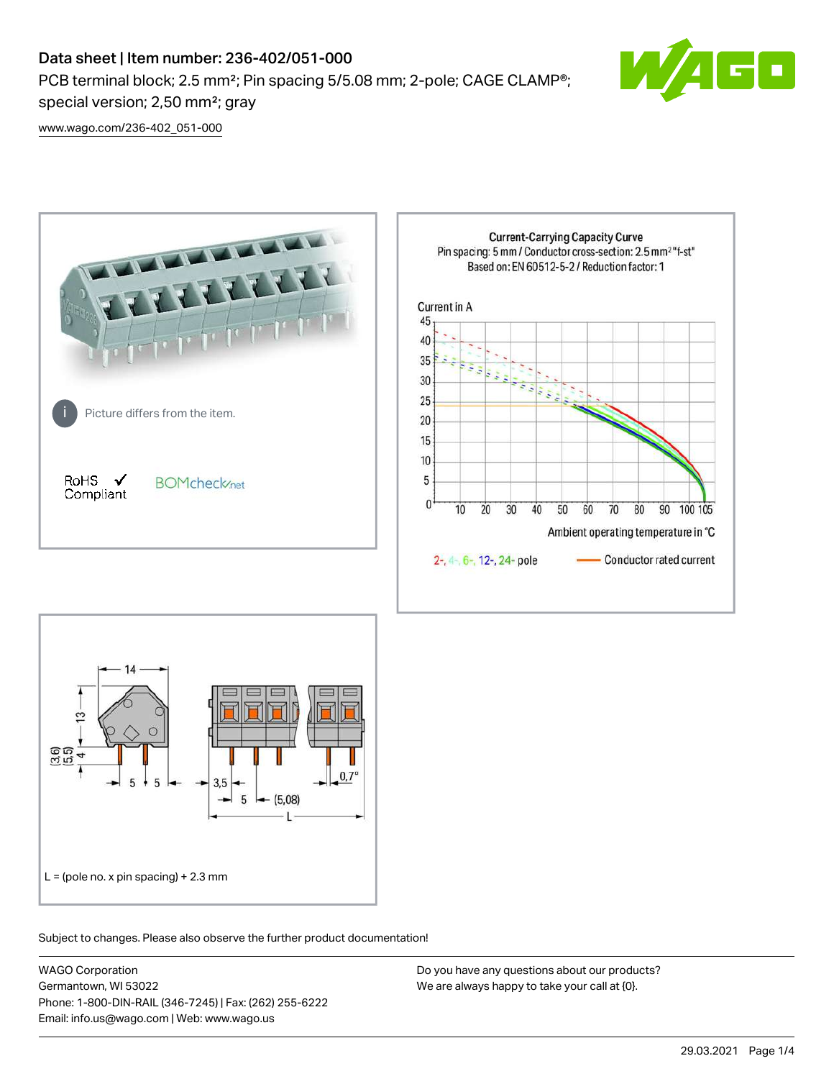# Data sheet | Item number: 236-402/051-000 PCB terminal block; 2.5 mm<sup>2</sup>; Pin spacing 5/5.08 mm; 2-pole; CAGE CLAMP<sup>®</sup>; special version; 2,50 mm²; gray



[www.wago.com/236-402\\_051-000](http://www.wago.com/236-402_051-000)





Subject to changes. Please also observe the further product documentation!

WAGO Corporation Germantown, WI 53022 Phone: 1-800-DIN-RAIL (346-7245) | Fax: (262) 255-6222 Email: info.us@wago.com | Web: www.wago.us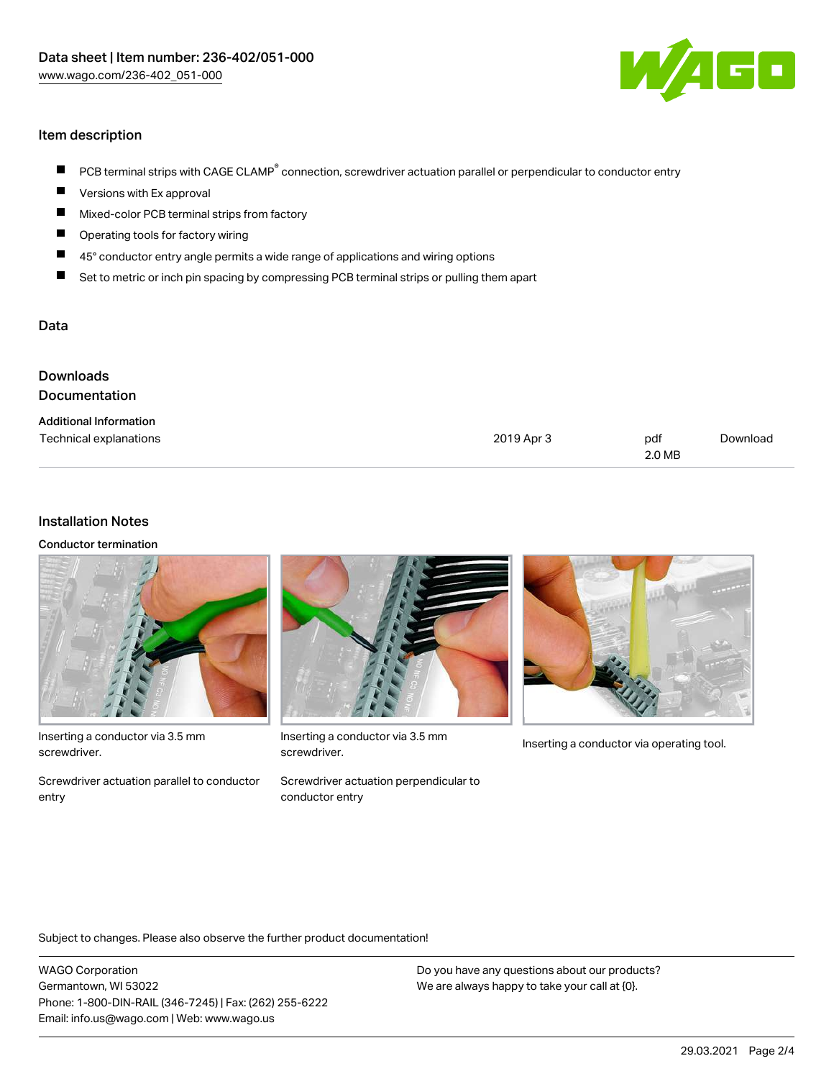

# Item description

- PCB terminal strips with CAGE CLAMP<sup>®</sup> connection, screwdriver actuation parallel or perpendicular to conductor entry  $\blacksquare$
- Versions with Ex approval П
- $\blacksquare$ Mixed-color PCB terminal strips from factory
- $\blacksquare$ Operating tools for factory wiring
- $\blacksquare$ 45° conductor entry angle permits a wide range of applications and wiring options
- П Set to metric or inch pin spacing by compressing PCB terminal strips or pulling them apart

## Data

| Downloads<br><b>Documentation</b> |            |               |          |
|-----------------------------------|------------|---------------|----------|
| <b>Additional Information</b>     |            |               |          |
| Technical explanations            | 2019 Apr 3 | pdf<br>2.0 MB | Download |

#### Installation Notes

Conductor termination



Inserting a conductor via 3.5 mm screwdriver.

Screwdriver actuation parallel to conductor entry



Inserting a conductor via 3.5 mm<br>Inserting a conductor via operating tool. screwdriver.

Screwdriver actuation perpendicular to conductor entry



Subject to changes. Please also observe the further product documentation!

WAGO Corporation Germantown, WI 53022 Phone: 1-800-DIN-RAIL (346-7245) | Fax: (262) 255-6222 Email: info.us@wago.com | Web: www.wago.us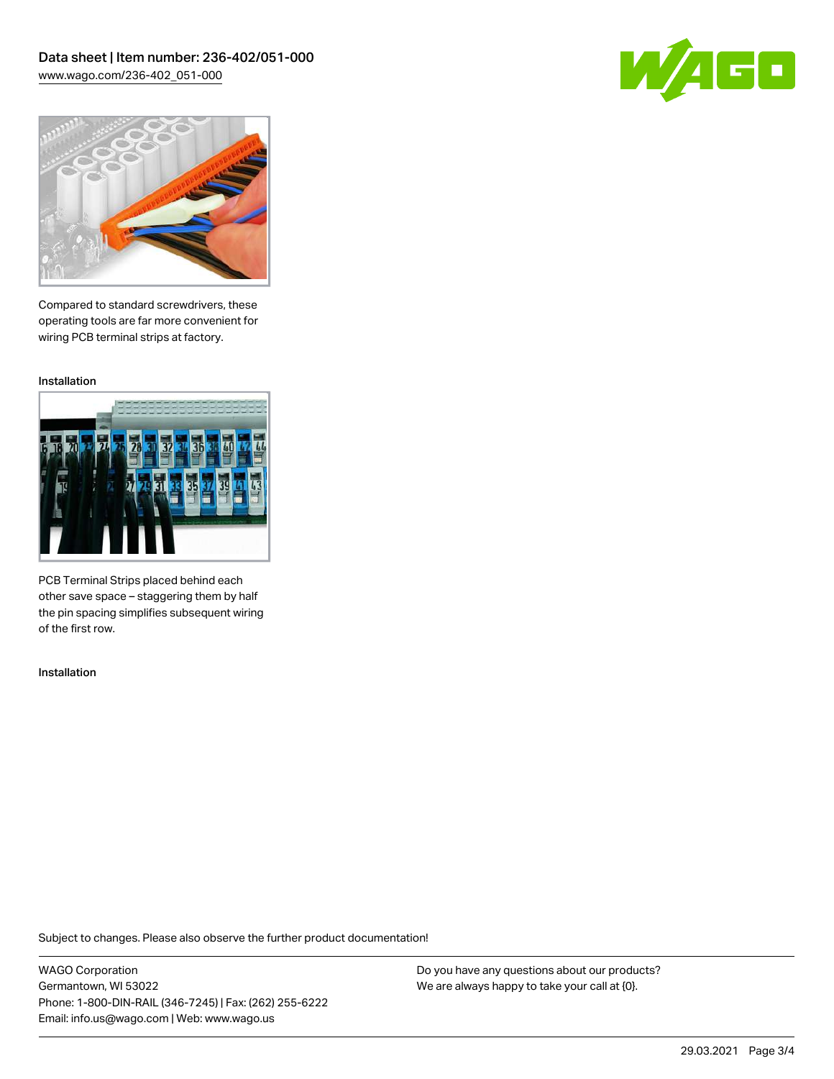



Compared to standard screwdrivers, these operating tools are far more convenient for wiring PCB terminal strips at factory.

Installation



PCB Terminal Strips placed behind each other save space – staggering them by half the pin spacing simplifies subsequent wiring of the first row.

Installation

Subject to changes. Please also observe the further product documentation!

WAGO Corporation Germantown, WI 53022 Phone: 1-800-DIN-RAIL (346-7245) | Fax: (262) 255-6222 Email: info.us@wago.com | Web: www.wago.us